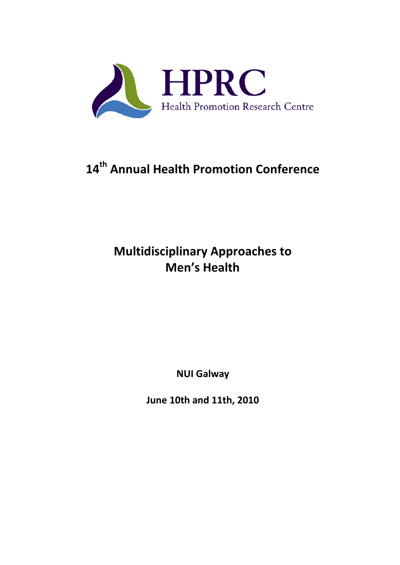

# **14th Annual Health Promotion Conference**

# **Multidisciplinary Approaches to Men's Health**

**NUI Galway**

**June 10th and 11th, 2010**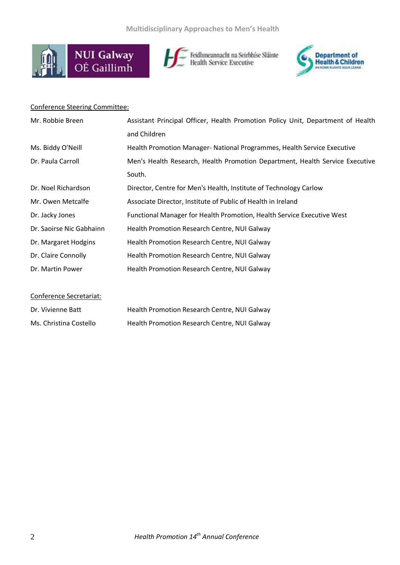





#### Conference Steering Committee:

| Mr. Robbie Breen         | Assistant Principal Officer, Health Promotion Policy Unit, Department of Health |
|--------------------------|---------------------------------------------------------------------------------|
|                          | and Children                                                                    |
| Ms. Biddy O'Neill        | Health Promotion Manager- National Programmes, Health Service Executive         |
| Dr. Paula Carroll        | Men's Health Research, Health Promotion Department, Health Service Executive    |
|                          | South.                                                                          |
| Dr. Noel Richardson      | Director, Centre for Men's Health, Institute of Technology Carlow               |
| Mr. Owen Metcalfe        | Associate Director, Institute of Public of Health in Ireland                    |
| Dr. Jacky Jones          | <b>Functional Manager for Health Promotion, Health Service Executive West</b>   |
| Dr. Saoirse Nic Gabhainn | Health Promotion Research Centre, NUI Galway                                    |
| Dr. Margaret Hodgins     | Health Promotion Research Centre, NUI Galway                                    |
| Dr. Claire Connolly      | Health Promotion Research Centre, NUI Galway                                    |
| Dr. Martin Power         | Health Promotion Research Centre, NUI Galway                                    |
|                          |                                                                                 |

Conference Secretariat:

| Dr. Vivienne Batt      | Health Promotion Research Centre, NUI Galway |
|------------------------|----------------------------------------------|
| Ms. Christina Costello | Health Promotion Research Centre, NUI Galway |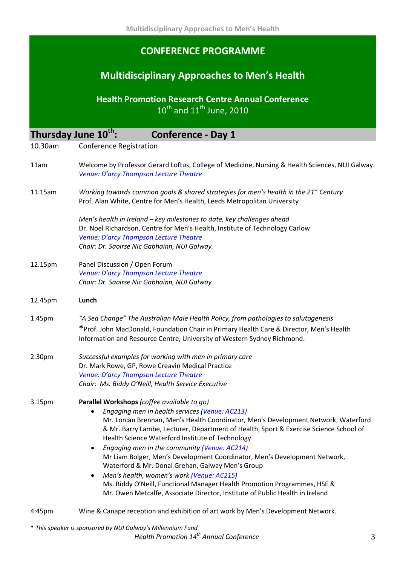### **CONFERENCE PROGRAMME**

# **Multidisciplinary Approaches to Men's Health**

**Health Promotion Research Centre Annual Conference**  $10^{th}$  and  $11^{th}$  June, 2010

| <b>Conference Registration</b><br>10.30am<br>Welcome by Professor Gerard Loftus, College of Medicine, Nursing & Health Sciences, NUI Galway.<br>11am<br>Venue: D'arcy Thompson Lecture Theatre<br>Working towards common goals & shared strategies for men's health in the 21 <sup>st</sup> Century<br>11.15am<br>Prof. Alan White, Centre for Men's Health, Leeds Metropolitan University<br>Men's health in Ireland - key milestones to date, key challenges ahead<br>Dr. Noel Richardson, Centre for Men's Health, Institute of Technology Carlow<br>Venue: D'arcy Thompson Lecture Theatre<br>Chair: Dr. Saoirse Nic Gabhainn, NUI Galway.<br>Panel Discussion / Open Forum<br>12.15pm<br>Venue: D'arcy Thompson Lecture Theatre<br>Chair: Dr. Saoirse Nic Gabhainn, NUI Galway.<br>Lunch<br>12.45pm<br>"A Sea Change" The Australian Male Health Policy, from pathologies to salutogenesis<br>1.45pm<br>*Prof. John MacDonald, Foundation Chair in Primary Health Care & Director, Men's Health<br>Information and Resource Centre, University of Western Sydney Richmond.<br>Successful examples for working with men in primary care<br>2.30pm<br>Dr. Mark Rowe, GP, Rowe Creavin Medical Practice<br>Venue: D'arcy Thompson Lecture Theatre<br>Chair: Ms. Biddy O'Neill, Health Service Executive<br>Parallel Workshops (coffee available to go)<br>3.15pm<br>Engaging men in health services (Venue: AC213)<br>Mr. Lorcan Brennan, Men's Health Coordinator, Men's Development Network, Waterford<br>& Mr. Barry Lambe, Lecturer, Department of Health, Sport & Exercise Science School of<br>Health Science Waterford Institute of Technology<br>Engaging men in the community (Venue: AC214)<br>$\bullet$<br>Mr Liam Bolger, Men's Development Coordinator, Men's Development Network,<br>Waterford & Mr. Donal Grehan, Galway Men's Group<br>Men's health, women's work (Venue: AC215)<br>$\bullet$<br>Ms. Biddy O'Neill, Functional Manager Health Promotion Programmes, HSE & | Thursday June 10 <sup>th</sup> : |  | <b>Conference - Day 1</b> |
|---------------------------------------------------------------------------------------------------------------------------------------------------------------------------------------------------------------------------------------------------------------------------------------------------------------------------------------------------------------------------------------------------------------------------------------------------------------------------------------------------------------------------------------------------------------------------------------------------------------------------------------------------------------------------------------------------------------------------------------------------------------------------------------------------------------------------------------------------------------------------------------------------------------------------------------------------------------------------------------------------------------------------------------------------------------------------------------------------------------------------------------------------------------------------------------------------------------------------------------------------------------------------------------------------------------------------------------------------------------------------------------------------------------------------------------------------------------------------------------------------------------------------------------------------------------------------------------------------------------------------------------------------------------------------------------------------------------------------------------------------------------------------------------------------------------------------------------------------------------------------------------------------------------------------------------------------------------------------------------------|----------------------------------|--|---------------------------|
|                                                                                                                                                                                                                                                                                                                                                                                                                                                                                                                                                                                                                                                                                                                                                                                                                                                                                                                                                                                                                                                                                                                                                                                                                                                                                                                                                                                                                                                                                                                                                                                                                                                                                                                                                                                                                                                                                                                                                                                             |                                  |  |                           |
|                                                                                                                                                                                                                                                                                                                                                                                                                                                                                                                                                                                                                                                                                                                                                                                                                                                                                                                                                                                                                                                                                                                                                                                                                                                                                                                                                                                                                                                                                                                                                                                                                                                                                                                                                                                                                                                                                                                                                                                             |                                  |  |                           |
|                                                                                                                                                                                                                                                                                                                                                                                                                                                                                                                                                                                                                                                                                                                                                                                                                                                                                                                                                                                                                                                                                                                                                                                                                                                                                                                                                                                                                                                                                                                                                                                                                                                                                                                                                                                                                                                                                                                                                                                             |                                  |  |                           |
|                                                                                                                                                                                                                                                                                                                                                                                                                                                                                                                                                                                                                                                                                                                                                                                                                                                                                                                                                                                                                                                                                                                                                                                                                                                                                                                                                                                                                                                                                                                                                                                                                                                                                                                                                                                                                                                                                                                                                                                             |                                  |  |                           |
|                                                                                                                                                                                                                                                                                                                                                                                                                                                                                                                                                                                                                                                                                                                                                                                                                                                                                                                                                                                                                                                                                                                                                                                                                                                                                                                                                                                                                                                                                                                                                                                                                                                                                                                                                                                                                                                                                                                                                                                             |                                  |  |                           |
|                                                                                                                                                                                                                                                                                                                                                                                                                                                                                                                                                                                                                                                                                                                                                                                                                                                                                                                                                                                                                                                                                                                                                                                                                                                                                                                                                                                                                                                                                                                                                                                                                                                                                                                                                                                                                                                                                                                                                                                             |                                  |  |                           |
|                                                                                                                                                                                                                                                                                                                                                                                                                                                                                                                                                                                                                                                                                                                                                                                                                                                                                                                                                                                                                                                                                                                                                                                                                                                                                                                                                                                                                                                                                                                                                                                                                                                                                                                                                                                                                                                                                                                                                                                             |                                  |  |                           |
|                                                                                                                                                                                                                                                                                                                                                                                                                                                                                                                                                                                                                                                                                                                                                                                                                                                                                                                                                                                                                                                                                                                                                                                                                                                                                                                                                                                                                                                                                                                                                                                                                                                                                                                                                                                                                                                                                                                                                                                             |                                  |  |                           |
| Mr. Owen Metcalfe, Associate Director, Institute of Public Health in Ireland                                                                                                                                                                                                                                                                                                                                                                                                                                                                                                                                                                                                                                                                                                                                                                                                                                                                                                                                                                                                                                                                                                                                                                                                                                                                                                                                                                                                                                                                                                                                                                                                                                                                                                                                                                                                                                                                                                                |                                  |  |                           |

4:45pm Wine & Canape reception and exhibition of art work by Men's Development Network.

*Health Promotion 14th Annual Conference* 3 **\*** *This speaker is sponsored by NUI Galway's Millennium Fund*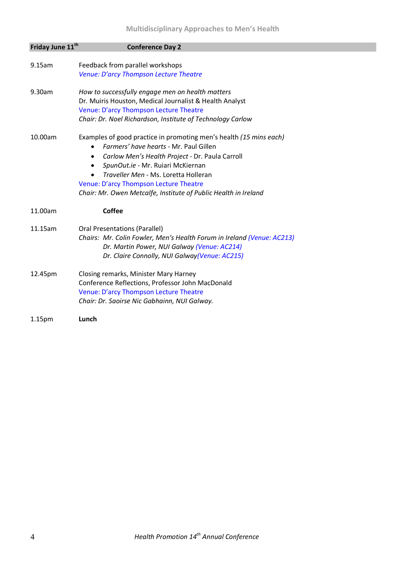| Friday June 11 <sup>th</sup> | <b>Conference Day 2</b>                                                                                                                                                                                                                                                                                                                                                                          |
|------------------------------|--------------------------------------------------------------------------------------------------------------------------------------------------------------------------------------------------------------------------------------------------------------------------------------------------------------------------------------------------------------------------------------------------|
| 9.15am                       | Feedback from parallel workshops<br>Venue: D'arcy Thompson Lecture Theatre                                                                                                                                                                                                                                                                                                                       |
| 9.30am                       | How to successfully engage men on health matters<br>Dr. Muiris Houston, Medical Journalist & Health Analyst<br>Venue: D'arcy Thompson Lecture Theatre<br>Chair: Dr. Noel Richardson, Institute of Technology Carlow                                                                                                                                                                              |
| 10.00am                      | Examples of good practice in promoting men's health (15 mins each)<br>Farmers' have hearts - Mr. Paul Gillen<br>$\bullet$<br>Carlow Men's Health Project - Dr. Paula Carroll<br>$\bullet$<br>SpunOut.ie - Mr. Ruiari McKiernan<br>$\bullet$<br>Traveller Men - Ms. Loretta Holleran<br>Venue: D'arcy Thompson Lecture Theatre<br>Chair: Mr. Owen Metcalfe, Institute of Public Health in Ireland |
| 11.00am                      | <b>Coffee</b>                                                                                                                                                                                                                                                                                                                                                                                    |
| 11.15am                      | <b>Oral Presentations (Parallel)</b><br>Chairs: Mr. Colin Fowler, Men's Health Forum in Ireland (Venue: AC213)<br>Dr. Martin Power, NUI Galway (Venue: AC214)<br>Dr. Claire Connolly, NUI Galway (Venue: AC215)                                                                                                                                                                                  |
| 12.45pm                      | Closing remarks, Minister Mary Harney<br>Conference Reflections, Professor John MacDonald<br>Venue: D'arcy Thompson Lecture Theatre<br>Chair: Dr. Saoirse Nic Gabhainn, NUI Galway.                                                                                                                                                                                                              |
| 1.15pm                       | Lunch                                                                                                                                                                                                                                                                                                                                                                                            |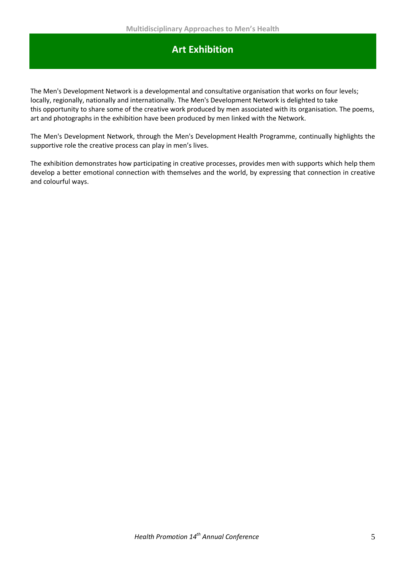### **Art Exhibition**

The Men's Development Network is a developmental and consultative organisation that works on four levels; locally, regionally, nationally and internationally. The Men's Development Network is delighted to take this opportunity to share some of the creative work produced by men associated with its organisation. The poems, art and photographs in the exhibition have been produced by men linked with the Network.

The Men's Development Network, through the Men's Development Health Programme, continually highlights the supportive role the creative process can play in men's lives.

The exhibition demonstrates how participating in creative processes, provides men with supports which help them develop a better emotional connection with themselves and the world, by expressing that connection in creative and colourful ways.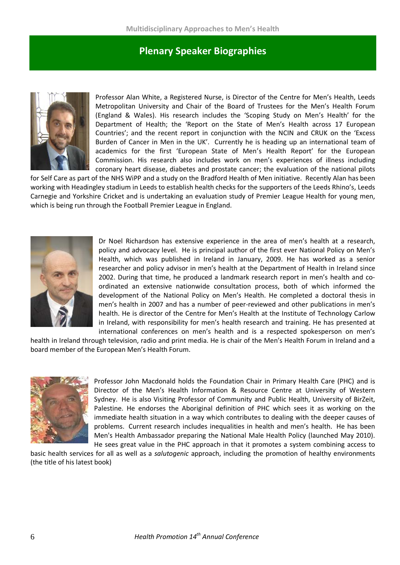### **Plenary Speaker Biographies**



Professor Alan White, a Registered Nurse, is Director of the Centre for Men's Health, Leeds Metropolitan University and Chair of the Board of Trustees for the Men's Health Forum (England & Wales). His research includes the 'Scoping Study on Men's Health' for the Department of Health; the 'Report on the State of Men's Health across 17 European Countries'; and the recent report in conjunction with the NCIN and CRUK on the 'Excess Burden of Cancer in Men in the UK'. Currently he is heading up an international team of academics for the first 'European State of Men's Health Report' for the European Commission. His research also includes work on men's experiences of illness including coronary heart disease, diabetes and prostate cancer; the evaluation of the national pilots

for Self Care as part of the NHS WiPP and a study on the Bradford Health of Men initiative. Recently Alan has been working with Headingley stadium in Leeds to establish health checks for the supporters of the Leeds Rhino's, Leeds Carnegie and Yorkshire Cricket and is undertaking an evaluation study of Premier League Health for young men, which is being run through the Football Premier League in England.



Dr Noel Richardson has extensive experience in the area of men's health at a research, policy and advocacy level. He is principal author of the first ever National Policy on Men's Health, which was published in Ireland in January, 2009. He has worked as a senior researcher and policy advisor in men's health at the Department of Health in Ireland since 2002. During that time, he produced a landmark research report in men's health and coordinated an extensive nationwide consultation process, both of which informed the development of the National Policy on Men's Health. He completed a doctoral thesis in men's health in 2007 and has a number of peer-reviewed and other publications in men's health. He is director of the Centre for Men's Health at the Institute of Technology Carlow in Ireland, with responsibility for men's health research and training. He has presented at international conferences on men's health and is a respected spokesperson on men's

health in Ireland through television, radio and print media. He is chair of the Men's Health Forum in Ireland and a board member of the European Men's Health Forum.



Professor John Macdonald holds the Foundation Chair in Primary Health Care (PHC) and is Director of the Men's Health Information & Resource Centre at University of Western Sydney. He is also Visiting Professor of Community and Public Health, University of BirZeit, Palestine. He endorses the Aboriginal definition of PHC which sees it as working on the immediate health situation in a way which contributes to dealing with the deeper causes of problems. Current research includes inequalities in health and men's health. He has been Men's Health Ambassador preparing the National Male Health Policy (launched May 2010). He sees great value in the PHC approach in that it promotes a system combining access to

basic health services for all as well as a *salutogenic* approach, including the promotion of healthy environments (the title of his latest book)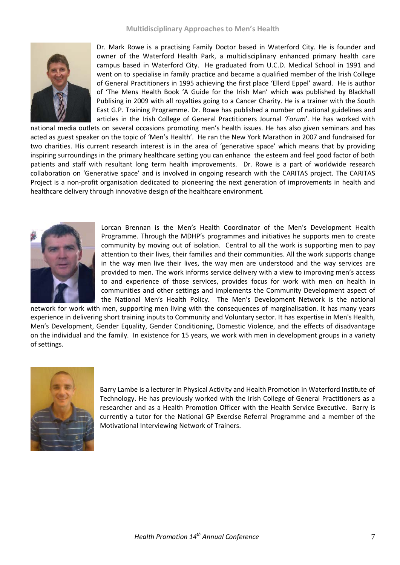

Dr. Mark Rowe is a practising Family Doctor based in Waterford City. He is founder and owner of the Waterford Health Park, a multidisciplinary enhanced primary health care campus based in Waterford City. He graduated from U.C.D. Medical School in 1991 and went on to specialise in family practice and became a qualified member of the Irish College of General Practitioners in 1995 achieving the first place 'Ellerd Eppel' award. He is author of 'The Mens Health Book 'A Guide for the Irish Man' which was published by Blackhall Publising in 2009 with all royalties going to a Cancer Charity. He is a trainer with the South East G.P. Training Programme. Dr. Rowe has published a number of national guidelines and articles in the Irish College of General Practitioners Journal *'Forum*'. He has worked with

national media outlets on several occasions promoting men's health issues. He has also given seminars and has acted as guest speaker on the topic of 'Men's Health'. He ran the New York Marathon in 2007 and fundraised for two charities. His current research interest is in the area of 'generative space' which means that by providing inspiring surroundings in the primary healthcare setting you can enhance the esteem and feel good factor of both patients and staff with resultant long term health improvements. Dr. Rowe is a part of worldwide research collaboration on 'Generative space' and is involved in ongoing research with the CARITAS project. The CARITAS Project is a non-profit organisation dedicated to pioneering the next generation of improvements in health and healthcare delivery through innovative design of the healthcare environment.



Lorcan Brennan is the Men's Health Coordinator of the Men's Development Health Programme. Through the MDHP's programmes and initiatives he supports men to create community by moving out of isolation. Central to all the work is supporting men to pay attention to their lives, their families and their communities. All the work supports change in the way men live their lives, the way men are understood and the way services are provided to men. The work informs service delivery with a view to improving men's access to and experience of those services, provides focus for work with men on health in communities and other settings and implements the Community Development aspect of the National Men's Health Policy. The Men's Development Network is the national

network for work with men, supporting men living with the consequences of marginalisation. It has many years experience in delivering short training inputs to Community and Voluntary sector. It has expertise in Men's Health, Men's Development, Gender Equality, Gender Conditioning, Domestic Violence, and the effects of disadvantage on the individual and the family. In existence for 15 years, we work with men in development groups in a variety of settings.



Barry Lambe is a lecturer in Physical Activity and Health Promotion in Waterford Institute of Technology. He has previously worked with the Irish College of General Practitioners as a researcher and as a Health Promotion Officer with the Health Service Executive. Barry is currently a tutor for the National GP Exercise Referral Programme and a member of the Motivational Interviewing Network of Trainers.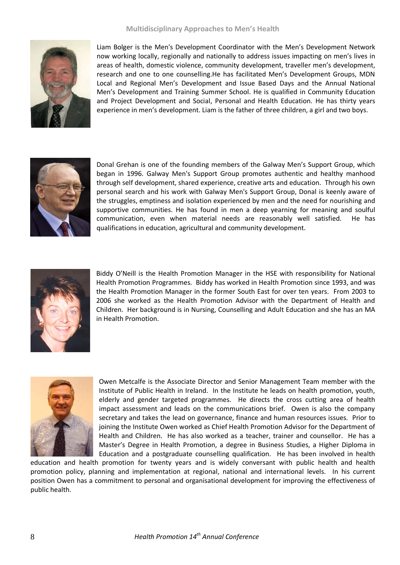#### **Multidisciplinary Approaches to Men's Health**



Liam Bolger is the Men's Development Coordinator with the Men's Development Network now working locally, regionally and nationally to address issues impacting on men's lives in areas of health, domestic violence, community development, traveller men's development, research and one to one counselling.He has facilitated Men's Development Groups, MDN Local and Regional Men's Development and Issue Based Days and the Annual National Men's Development and Training Summer School. He is qualified in Community Education and Project Development and Social, Personal and Health Education. He has thirty years experience in men's development. Liam is the father of three children, a girl and two boys.



Donal Grehan is one of the founding members of the Galway Men's Support Group, which began in 1996. Galway Men's Support Group promotes authentic and healthy manhood through self development, shared experience, creative arts and education. Through his own personal search and his work with Galway Men's Support Group, Donal is keenly aware of the struggles, emptiness and isolation experienced by men and the need for nourishing and supportive communities. He has found in men a deep yearning for meaning and soulful communication, even when material needs are reasonably well satisfied. He has qualifications in education, agricultural and community development.



Biddy O'Neill is the Health Promotion Manager in the HSE with responsibility for National Health Promotion Programmes. Biddy has worked in Health Promotion since 1993, and was the Health Promotion Manager in the former South East for over ten years. From 2003 to 2006 she worked as the Health Promotion Advisor with the Department of Health and Children. Her background is in Nursing, Counselling and Adult Education and she has an MA in Health Promotion.



Owen Metcalfe is the Associate Director and Senior Management Team member with the Institute of Public Health in Ireland. In the Institute he leads on health promotion, youth, elderly and gender targeted programmes. He directs the cross cutting area of health impact assessment and leads on the communications brief. Owen is also the company secretary and takes the lead on governance, finance and human resources issues. Prior to joining the Institute Owen worked as Chief Health Promotion Advisor for the Department of Health and Children. He has also worked as a teacher, trainer and counsellor. He has a Master's Degree in Health Promotion, a degree in Business Studies, a Higher Diploma in Education and a postgraduate counselling qualification. He has been involved in health

education and health promotion for twenty years and is widely conversant with public health and health promotion policy, planning and implementation at regional, national and international levels. In his current position Owen has a commitment to personal and organisational development for improving the effectiveness of public health.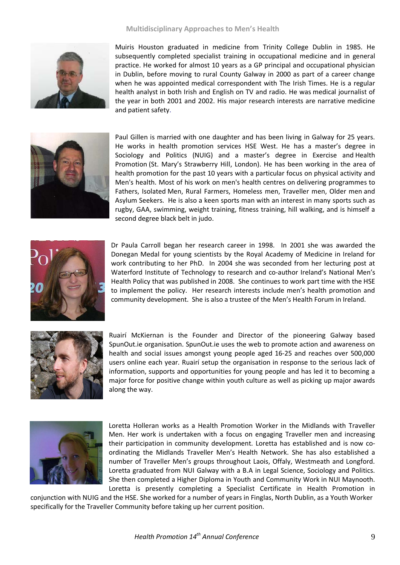#### **Multidisciplinary Approaches to Men's Health**



Muiris Houston graduated in medicine from Trinity College Dublin in 1985. He subsequently completed specialist training in occupational medicine and in general practice. He worked for almost 10 years as a GP principal and occupational physician in Dublin, before moving to rural County Galway in 2000 as part of a career change when he was appointed medical correspondent with The Irish Times. He is a regular health analyst in both Irish and English on TV and radio. He was medical journalist of the year in both 2001 and 2002. His major research interests are narrative medicine and patient safety.



Paul Gillen is married with one daughter and has been living in Galway for 25 years. He works in health promotion services HSE West. He has a master's degree in Sociology and Politics (NUIG) and a master's degree in Exercise and Health Promotion (St. Mary's Strawberry Hill, London). He has been working in the area of health promotion for the past 10 years with a particular focus on physical activity and Men's health. Most of his work on men's health centres on delivering programmes to Fathers, Isolated Men, Rural Farmers, Homeless men, Traveller men, Older men and Asylum Seekers. He is also a keen sports man with an interest in many sports such as rugby, GAA, swimming, weight training, fitness training, hill walking, and is himself a second degree black belt in judo.



Dr Paula Carroll began her research career in 1998. In 2001 she was awarded the Donegan Medal for young scientists by the Royal Academy of Medicine in Ireland for work contributing to her PhD. In 2004 she was seconded from her lecturing post at Waterford Institute of Technology to research and co-author Ireland's National Men's Health Policy that was published in 2008. She continues to work part time with the HSE to implement the policy. Her research interests include men's health promotion and community development. She is also a trustee of the Men's Health Forum in Ireland.



Ruairí McKiernan is the Founder and Director of the pioneering Galway based SpunOut.ie organisation. SpunOut.ie uses the web to promote action and awareness on health and social issues amongst young people aged 16-25 and reaches over 500,000 users online each year. Ruairí setup the organisation in response to the serious lack of information, supports and opportunities for young people and has led it to becoming a major force for positive change within youth culture as well as picking up major awards along the way.



Loretta Holleran works as a Health Promotion Worker in the Midlands with Traveller Men. Her work is undertaken with a focus on engaging Traveller men and increasing their participation in community development. Loretta has established and is now coordinating the Midlands Traveller Men's Health Network. She has also established a number of Traveller Men's groups throughout Laois, Offaly, Westmeath and Longford. Loretta graduated from NUI Galway with a B.A in Legal Science, Sociology and Politics. She then completed a Higher Diploma in Youth and Community Work in NUI Maynooth. Loretta is presently completing a Specialist Certificate in Health Promotion in

conjunction with NUIG and the HSE. She worked for a number of years in Finglas, North Dublin, as a Youth Worker specifically for the Traveller Community before taking up her current position.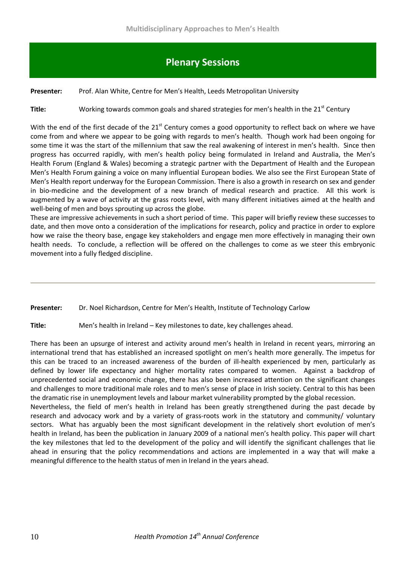### **Plenary Sessions**

**Presenter:** Prof. Alan White, Centre for Men's Health, Leeds Metropolitan University

**Title:** Working towards common goals and shared strategies for men's health in the 21<sup>st</sup> Century

With the end of the first decade of the 21<sup>st</sup> Century comes a good opportunity to reflect back on where we have come from and where we appear to be going with regards to men's health. Though work had been ongoing for some time it was the start of the millennium that saw the real awakening of interest in men's health. Since then progress has occurred rapidly, with men's health policy being formulated in Ireland and Australia, the Men's Health Forum (England & Wales) becoming a strategic partner with the Department of Health and the European Men's Health Forum gaining a voice on many influential European bodies. We also see the First European State of Men's Health report underway for the European Commission. There is also a growth in research on sex and gender in bio-medicine and the development of a new branch of medical research and practice. All this work is augmented by a wave of activity at the grass roots level, with many different initiatives aimed at the health and well-being of men and boys sprouting up across the globe.

These are impressive achievements in such a short period of time. This paper will briefly review these successes to date, and then move onto a consideration of the implications for research, policy and practice in order to explore how we raise the theory base, engage key stakeholders and engage men more effectively in managing their own health needs. To conclude, a reflection will be offered on the challenges to come as we steer this embryonic movement into a fully fledged discipline.

Presenter: Dr. Noel Richardson, Centre for Men's Health, Institute of Technology Carlow

**Title:** Men's health in Ireland – Key milestones to date, key challenges ahead.

There has been an upsurge of interest and activity around men's health in Ireland in recent years, mirroring an international trend that has established an increased spotlight on men's health more generally. The impetus for this can be traced to an increased awareness of the burden of ill-health experienced by men, particularly as defined by lower life expectancy and higher mortality rates compared to women. Against a backdrop of unprecedented social and economic change, there has also been increased attention on the significant changes and challenges to more traditional male roles and to men's sense of place in Irish society. Central to this has been the dramatic rise in unemployment levels and labour market vulnerability prompted by the global recession.

Nevertheless, the field of men's health in Ireland has been greatly strengthened during the past decade by research and advocacy work and by a variety of grass-roots work in the statutory and community/ voluntary sectors. What has arguably been the most significant development in the relatively short evolution of men's health in Ireland, has been the publication in January 2009 of a national men's health policy. This paper will chart the key milestones that led to the development of the policy and will identify the significant challenges that lie ahead in ensuring that the policy recommendations and actions are implemented in a way that will make a meaningful difference to the health status of men in Ireland in the years ahead.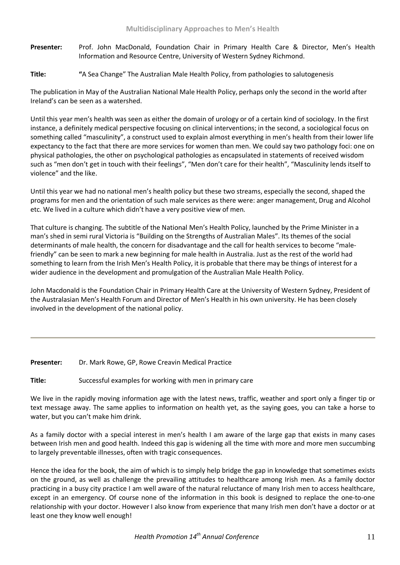**Presenter:** Prof. John MacDonald, Foundation Chair in Primary Health Care & Director, Men's Health Information and Resource Centre, University of Western Sydney Richmond.

**Title: "**A Sea Change" The Australian Male Health Policy, from pathologies to salutogenesis

The publication in May of the Australian National Male Health Policy, perhaps only the second in the world after Ireland's can be seen as a watershed.

Until this year men's health was seen as either the domain of urology or of a certain kind of sociology. In the first instance, a definitely medical perspective focusing on clinical interventions; in the second, a sociological focus on something called "masculinity", a construct used to explain almost everything in men's health from their lower life expectancy to the fact that there are more services for women than men. We could say two pathology foci: one on physical pathologies, the other on psychological pathologies as encapsulated in statements of received wisdom such as "men don't get in touch with their feelings", "Men don't care for their health", "Masculinity lends itself to violence" and the like.

Until this year we had no national men's health policy but these two streams, especially the second, shaped the programs for men and the orientation of such male services as there were: anger management, Drug and Alcohol etc. We lived in a culture which didn't have a very positive view of men.

That culture is changing. The subtitle of the National Men's Health Policy, launched by the Prime Minister in a man's shed in semi rural Victoria is "Building on the Strengths of Australian Males". Its themes of the social determinants of male health, the concern for disadvantage and the call for health services to become "malefriendly" can be seen to mark a new beginning for male health in Australia. Just as the rest of the world had something to learn from the Irish Men's Health Policy, it is probable that there may be things of interest for a wider audience in the development and promulgation of the Australian Male Health Policy.

John Macdonald is the Foundation Chair in Primary Health Care at the University of Western Sydney, President of the Australasian Men's Health Forum and Director of Men's Health in his own university. He has been closely involved in the development of the national policy.

#### **Presenter:** Dr. Mark Rowe, GP, Rowe Creavin Medical Practice

**Title:** Successful examples for working with men in primary care

We live in the rapidly moving information age with the latest news, traffic, weather and sport only a finger tip or text message away. The same applies to information on health yet, as the saying goes, you can take a horse to water, but you can't make him drink.

As a family doctor with a special interest in men's health I am aware of the large gap that exists in many cases between Irish men and good health. Indeed this gap is widening all the time with more and more men succumbing to largely preventable illnesses, often with tragic consequences.

Hence the idea for the book, the aim of which is to simply help bridge the gap in knowledge that sometimes exists on the ground, as well as challenge the prevailing attitudes to healthcare among Irish men. As a family doctor practicing in a busy city practice I am well aware of the natural reluctance of many Irish men to access healthcare, except in an emergency. Of course none of the information in this book is designed to replace the one-to-one relationship with your doctor. However I also know from experience that many Irish men don't have a doctor or at least one they know well enough!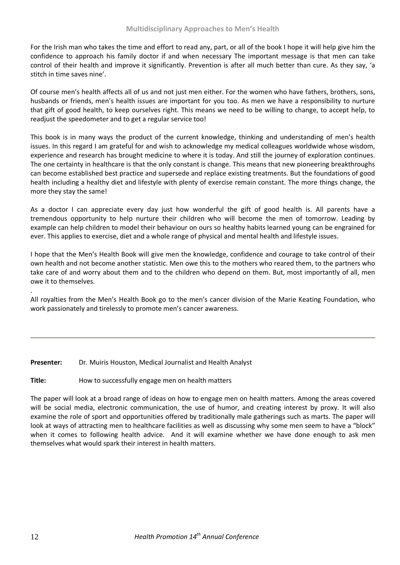For the Irish man who takes the time and effort to read any, part, or all of the book I hope it will help give him the confidence to approach his family doctor if and when necessary The important message is that men can take control of their health and improve it significantly. Prevention is after all much better than cure. As they say, 'a stitch in time saves nine'.

Of course men's health affects all of us and not just men either. For the women who have fathers, brothers, sons, husbands or friends, men's health issues are important for you too. As men we have a responsibility to nurture that gift of good health, to keep ourselves right. This means we need to be willing to change, to accept help, to readjust the speedometer and to get a regular service too!

This book is in many ways the product of the current knowledge, thinking and understanding of men's health issues. In this regard I am grateful for and wish to acknowledge my medical colleagues worldwide whose wisdom, experience and research has brought medicine to where it is today. And still the journey of exploration continues. The one certainty in healthcare is that the only constant is change. This means that new pioneering breakthroughs can become established best practice and supersede and replace existing treatments. But the foundations of good health including a healthy diet and lifestyle with plenty of exercise remain constant. The more things change, the more they stay the same!

As a doctor I can appreciate every day just how wonderful the gift of good health is. All parents have a tremendous opportunity to help nurture their children who will become the men of tomorrow. Leading by example can help children to model their behaviour on ours so healthy habits learned young can be engrained for ever. This applies to exercise, diet and a whole range of physical and mental health and lifestyle issues.

I hope that the Men's Health Book will give men the knowledge, confidence and courage to take control of their own health and not become another statistic. Men owe this to the mothers who reared them, to the partners who take care of and worry about them and to the children who depend on them. But, most importantly of all, men owe it to themselves.

All royalties from the Men's Health Book go to the men's cancer division of the Marie Keating Foundation, who work passionately and tirelessly to promote men's cancer awareness.

#### **Presenter:** Dr*.* Muiris Houston, Medical Journalist and Health Analyst

**Title:** How to successfully engage men on health matters

The paper will look at a broad range of ideas on how to engage men on health matters. Among the areas covered will be social media, electronic communication, the use of humor, and creating interest by proxy. It will also examine the role of sport and opportunities offered by traditionally male gatherings such as marts. The paper will look at ways of attracting men to healthcare facilities as well as discussing why some men seem to have a "block" when it comes to following health advice. And it will examine whether we have done enough to ask men themselves what would spark their interest in health matters.

.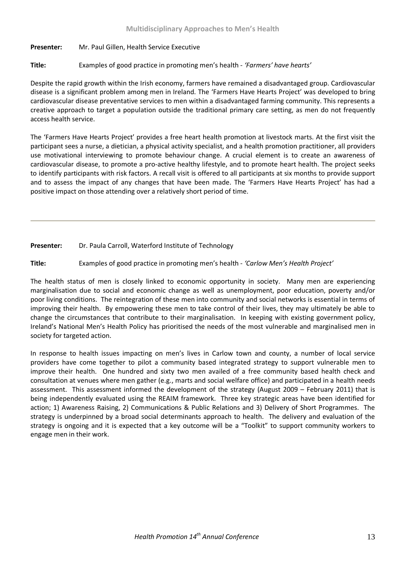#### **Presenter:** Mr. Paul Gillen, Health Service Executive

#### **Title:** Examples of good practice in promoting men's health - *'Farmers' have hearts'*

Despite the rapid growth within the Irish economy, farmers have remained a disadvantaged group. Cardiovascular disease is a significant problem among men in Ireland. The 'Farmers Have Hearts Project' was developed to bring cardiovascular disease preventative services to men within a disadvantaged farming community. This represents a creative approach to target a population outside the traditional primary care setting, as men do not frequently access health service.

The 'Farmers Have Hearts Project' provides a free heart health promotion at livestock marts. At the first visit the participant sees a nurse, a dietician, a physical activity specialist, and a health promotion practitioner, all providers use motivational interviewing to promote behaviour change. A crucial element is to create an awareness of cardiovascular disease, to promote a pro-active healthy lifestyle, and to promote heart health. The project seeks to identify participants with risk factors. A recall visit is offered to all participants at six months to provide support and to assess the impact of any changes that have been made. The 'Farmers Have Hearts Project' has had a positive impact on those attending over a relatively short period of time.

Presenter: Dr. Paula Carroll, Waterford Institute of Technology

**Title:** Examples of good practice in promoting men's health - *'Carlow Men's Health Project'*

The health status of men is closely linked to economic opportunity in society. Many men are experiencing marginalisation due to social and economic change as well as unemployment, poor education, poverty and/or poor living conditions. The reintegration of these men into community and social networks is essential in terms of improving their health. By empowering these men to take control of their lives, they may ultimately be able to change the circumstances that contribute to their marginalisation. In keeping with existing government policy, Ireland's National Men's Health Policy has prioritised the needs of the most vulnerable and marginalised men in society for targeted action.

In response to health issues impacting on men's lives in Carlow town and county, a number of local service providers have come together to pilot a community based integrated strategy to support vulnerable men to improve their health. One hundred and sixty two men availed of a free community based health check and consultation at venues where men gather (e.g., marts and social welfare office) and participated in a health needs assessment. This assessment informed the development of the strategy (August 2009 – February 2011) that is being independently evaluated using the REAIM framework. Three key strategic areas have been identified for action; 1) Awareness Raising, 2) Communications & Public Relations and 3) Delivery of Short Programmes. The strategy is underpinned by a broad social determinants approach to health. The delivery and evaluation of the strategy is ongoing and it is expected that a key outcome will be a "Toolkit" to support community workers to engage men in their work.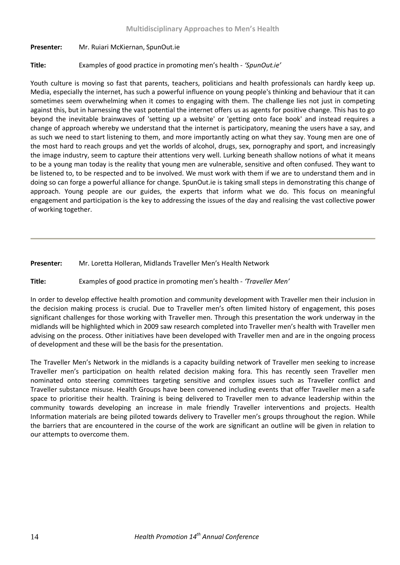#### **Presenter:** Mr. Ruiari McKiernan, SpunOut.ie

#### **Title:** Examples of good practice in promoting men's health - *'SpunOut.ie'*

Youth culture is moving so fast that parents, teachers, politicians and health professionals can hardly keep up. Media, especially the internet, has such a powerful influence on young people's thinking and behaviour that it can sometimes seem overwhelming when it comes to engaging with them. The challenge lies not just in competing against this, but in harnessing the vast potential the internet offers us as agents for positive change. This has to go beyond the inevitable brainwaves of 'setting up a website' or 'getting onto face book' and instead requires a change of approach whereby we understand that the internet is participatory, meaning the users have a say, and as such we need to start listening to them, and more importantly acting on what they say. Young men are one of the most hard to reach groups and yet the worlds of alcohol, drugs, sex, pornography and sport, and increasingly the image industry, seem to capture their attentions very well. Lurking beneath shallow notions of what it means to be a young man today is the reality that young men are vulnerable, sensitive and often confused. They want to be listened to, to be respected and to be involved. We must work with them if we are to understand them and in doing so can forge a powerful alliance for change. SpunOut.ie is taking small steps in demonstrating this change of approach. Young people are our guides, the experts that inform what we do. This focus on meaningful engagement and participation is the key to addressing the issues of the day and realising the vast collective power of working together.

#### **Presenter:** Mr. Loretta Holleran, Midlands Traveller Men's Health Network

#### **Title:** Examples of good practice in promoting men's health - *'Traveller Men'*

In order to develop effective health promotion and community development with Traveller men their inclusion in the decision making process is crucial. Due to Traveller men's often limited history of engagement, this poses significant challenges for those working with Traveller men. Through this presentation the work underway in the midlands will be highlighted which in 2009 saw research completed into Traveller men's health with Traveller men advising on the process. Other initiatives have been developed with Traveller men and are in the ongoing process of development and these will be the basis for the presentation.

The Traveller Men's Network in the midlands is a capacity building network of Traveller men seeking to increase Traveller men's participation on health related decision making fora. This has recently seen Traveller men nominated onto steering committees targeting sensitive and complex issues such as Traveller conflict and Traveller substance misuse. Health Groups have been convened including events that offer Traveller men a safe space to prioritise their health. Training is being delivered to Traveller men to advance leadership within the community towards developing an increase in male friendly Traveller interventions and projects. Health Information materials are being piloted towards delivery to Traveller men's groups throughout the region. While the barriers that are encountered in the course of the work are significant an outline will be given in relation to our attempts to overcome them.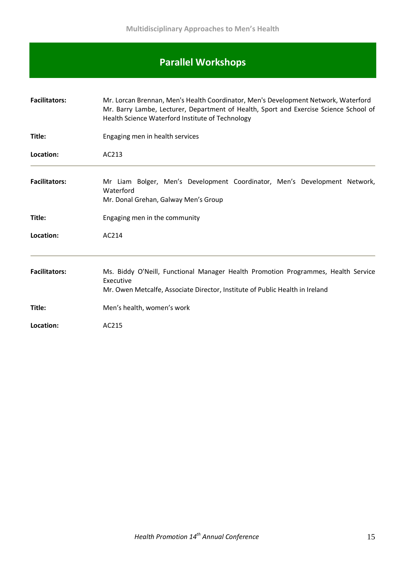# **Parallel Workshops**

| <b>Facilitators:</b> | Mr. Lorcan Brennan, Men's Health Coordinator, Men's Development Network, Waterford<br>Mr. Barry Lambe, Lecturer, Department of Health, Sport and Exercise Science School of<br>Health Science Waterford Institute of Technology |  |
|----------------------|---------------------------------------------------------------------------------------------------------------------------------------------------------------------------------------------------------------------------------|--|
| Title:               | Engaging men in health services                                                                                                                                                                                                 |  |
| Location:            | AC213                                                                                                                                                                                                                           |  |
| <b>Facilitators:</b> | Mr Liam Bolger, Men's Development Coordinator, Men's Development Network,<br>Waterford<br>Mr. Donal Grehan, Galway Men's Group                                                                                                  |  |
| Title:               | Engaging men in the community                                                                                                                                                                                                   |  |
| Location:            | AC214                                                                                                                                                                                                                           |  |
| <b>Facilitators:</b> | Ms. Biddy O'Neill, Functional Manager Health Promotion Programmes, Health Service<br>Executive<br>Mr. Owen Metcalfe, Associate Director, Institute of Public Health in Ireland                                                  |  |
| Title:               | Men's health, women's work                                                                                                                                                                                                      |  |
| Location:            | AC215                                                                                                                                                                                                                           |  |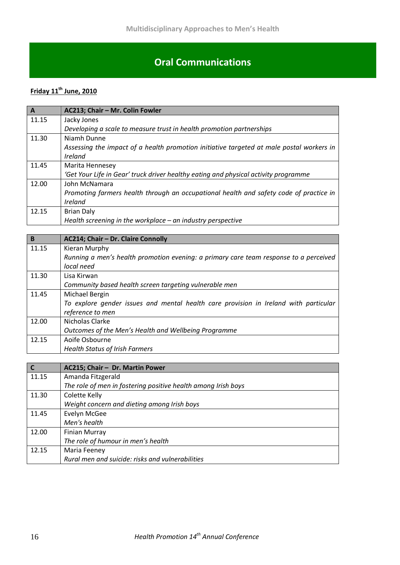# **Oral Communications**

### **Friday 11th June, 2010**

| $\mathbf{A}$ | AC213; Chair - Mr. Colin Fowler                                                          |
|--------------|------------------------------------------------------------------------------------------|
| 11.15        | Jacky Jones                                                                              |
|              | Developing a scale to measure trust in health promotion partnerships                     |
| 11.30        | Niamh Dunne                                                                              |
|              | Assessing the impact of a health promotion initiative targeted at male postal workers in |
|              | Ireland                                                                                  |
| 11.45        | Marita Hennesey                                                                          |
|              | 'Get Your Life in Gear' truck driver healthy eating and physical activity programme      |
| 12.00        | John McNamara                                                                            |
|              | Promoting farmers health through an occupational health and safety code of practice in   |
|              | Ireland                                                                                  |
| 12.15        | <b>Brian Daly</b>                                                                        |
|              | Health screening in the workplace $-$ an industry perspective                            |

| B     | AC214; Chair - Dr. Claire Connolly                                                    |
|-------|---------------------------------------------------------------------------------------|
| 11.15 | Kieran Murphy                                                                         |
|       | Running a men's health promotion evening: a primary care team response to a perceived |
|       | local need                                                                            |
| 11.30 | Lisa Kirwan                                                                           |
|       | Community based health screen targeting vulnerable men                                |
| 11.45 | Michael Bergin                                                                        |
|       | To explore gender issues and mental health care provision in Ireland with particular  |
|       | reference to men                                                                      |
| 12.00 | Nicholas Clarke                                                                       |
|       | Outcomes of the Men's Health and Wellbeing Programme                                  |
| 12.15 | Aoife Osbourne                                                                        |
|       | <b>Health Status of Irish Farmers</b>                                                 |

|       | AC215; Chair - Dr. Martin Power                               |
|-------|---------------------------------------------------------------|
| 11.15 | Amanda Fitzgerald                                             |
|       | The role of men in fostering positive health among Irish boys |
| 11.30 | Colette Kelly                                                 |
|       | Weight concern and dieting among Irish boys                   |
| 11.45 | Evelyn McGee                                                  |
|       | Men's health                                                  |
| 12.00 | <b>Finian Murray</b>                                          |
|       | The role of humour in men's health                            |
| 12.15 | Maria Feeney                                                  |
|       | Rural men and suicide: risks and vulnerabilities              |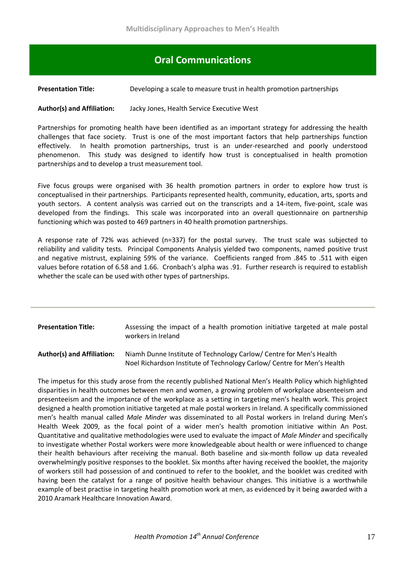### **Oral Communications**

**Presentation Title:** Developing a scale to measure trust in health promotion partnerships

#### **Author(s) and Affiliation:** Jacky Jones, Health Service Executive West

Partnerships for promoting health have been identified as an important strategy for addressing the health challenges that face society. Trust is one of the most important factors that help partnerships function effectively. In health promotion partnerships, trust is an under-researched and poorly understood phenomenon. This study was designed to identify how trust is conceptualised in health promotion partnerships and to develop a trust measurement tool.

Five focus groups were organised with 36 health promotion partners in order to explore how trust is conceptualised in their partnerships. Participants represented health, community, education, arts, sports and youth sectors. A content analysis was carried out on the transcripts and a 14-item, five-point, scale was developed from the findings. This scale was incorporated into an overall questionnaire on partnership functioning which was posted to 469 partners in 40 health promotion partnerships.

A response rate of 72% was achieved (n=337) for the postal survey. The trust scale was subjected to reliability and validity tests. Principal Components Analysis yielded two components, named positive trust and negative mistrust, explaining 59% of the variance. Coefficients ranged from .845 to .511 with eigen values before rotation of 6.58 and 1.66. Cronbach's alpha was .91. Further research is required to establish whether the scale can be used with other types of partnerships.

### **Presentation Title:** Assessing the impact of a health promotion initiative targeted at male postal workers in Ireland

**Author(s) and Affiliation:** Niamh Dunne Institute of Technology Carlow/ Centre for Men's Health Noel Richardson Institute of Technology Carlow/ Centre for Men's Health

The impetus for this study arose from the recently published National Men's Health Policy which highlighted disparities in health outcomes between men and women, a growing problem of workplace absenteeism and presenteeism and the importance of the workplace as a setting in targeting men's health work. This project designed a health promotion initiative targeted at male postal workers in Ireland. A specifically commissioned men's health manual called *Male Minder* was disseminated to all Postal workers in Ireland during Men's Health Week 2009, as the focal point of a wider men's health promotion initiative within An Post. Quantitative and qualitative methodologies were used to evaluate the impact of *Male Minder* and specifically to investigate whether Postal workers were more knowledgeable about health or were influenced to change their health behaviours after receiving the manual. Both baseline and six-month follow up data revealed overwhelmingly positive responses to the booklet. Six months after having received the booklet, the majority of workers still had possession of and continued to refer to the booklet, and the booklet was credited with having been the catalyst for a range of positive health behaviour changes. This initiative is a worthwhile example of best practise in targeting health promotion work at men, as evidenced by it being awarded with a 2010 Aramark Healthcare Innovation Award.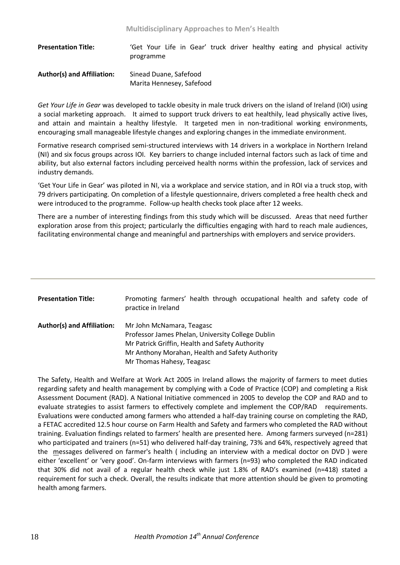**Presentation Title:** 'Get Your Life in Gear' truck driver healthy eating and physical activity programme

| <b>Author(s) and Affiliation:</b> | Sinead Duane, Safefood    |
|-----------------------------------|---------------------------|
|                                   | Marita Hennesey, Safefood |

*Get Your Life in Gear* was developed to tackle obesity in male truck drivers on the island of Ireland (IOI) using a social marketing approach. It aimed to support truck drivers to eat healthily, lead physically active lives, and attain and maintain a healthy lifestyle. It targeted men in non-traditional working environments, encouraging small manageable lifestyle changes and exploring changes in the immediate environment.

Formative research comprised semi-structured interviews with 14 drivers in a workplace in Northern Ireland (NI) and six focus groups across IOI. Key barriers to change included internal factors such as lack of time and ability, but also external factors including perceived health norms within the profession, lack of services and industry demands.

'Get Your Life in Gear' was piloted in NI, via a workplace and service station, and in ROI via a truck stop, with 79 drivers participating. On completion of a lifestyle questionnaire, drivers completed a free health check and were introduced to the programme. Follow-up health checks took place after 12 weeks.

There are a number of interesting findings from this study which will be discussed. Areas that need further exploration arose from this project; particularly the difficulties engaging with hard to reach male audiences, facilitating environmental change and meaningful and partnerships with employers and service providers.

| <b>Presentation Title:</b>        | Promoting farmers' health through occupational health and safety code of<br>practice in Ireland                                                                                                                   |
|-----------------------------------|-------------------------------------------------------------------------------------------------------------------------------------------------------------------------------------------------------------------|
| <b>Author(s) and Affiliation:</b> | Mr John McNamara, Teagasc<br>Professor James Phelan, University College Dublin<br>Mr Patrick Griffin, Health and Safety Authority<br>Mr Anthony Morahan, Health and Safety Authority<br>Mr Thomas Hahesy, Teagasc |

The Safety, Health and Welfare at Work Act 2005 in Ireland allows the majority of farmers to meet duties regarding safety and health management by complying with a Code of Practice (COP) and completing a Risk Assessment Document (RAD). A National Initiative commenced in 2005 to develop the COP and RAD and to evaluate strategies to assist farmers to effectively complete and implement the COP/RAD requirements. Evaluations were conducted among farmers who attended a half-day training course on completing the RAD, a FETAC accredited 12.5 hour course on Farm Health and Safety and farmers who completed the RAD without training. Evaluation findings related to farmers' health are presented here. Among farmers surveyed (n=281) who participated and trainers (n=51) who delivered half-day training, 73% and 64%, respectively agreed that the messages delivered on farmer's health ( including an interview with a medical doctor on DVD ) were either 'excellent' or 'very good'. On-farm interviews with farmers (n=93) who completed the RAD indicated that 30% did not avail of a regular health check while just 1.8% of RAD's examined (n=418) stated a requirement for such a check. Overall, the results indicate that more attention should be given to promoting health among farmers.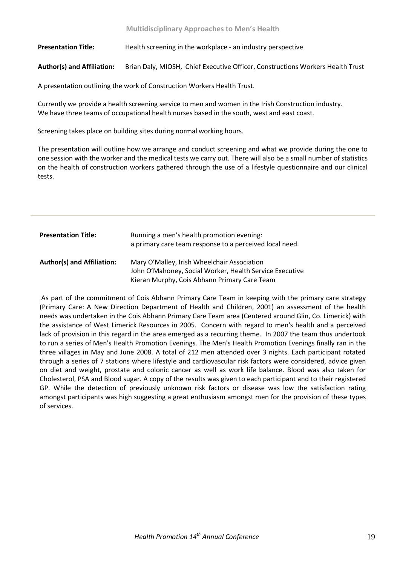**Multidisciplinary Approaches to Men's Health**

**Presentation Title:** Health screening in the workplace - an industry perspective

**Author(s) and Affiliation:** Brian Daly, MIOSH, Chief Executive Officer, Constructions Workers Health Trust

A presentation outlining the work of Construction Workers Health Trust.

Currently we provide a health screening service to men and women in the Irish Construction industry. We have three teams of occupational health nurses based in the south, west and east coast.

Screening takes place on building sites during normal working hours.

The presentation will outline how we arrange and conduct screening and what we provide during the one to one session with the worker and the medical tests we carry out. There will also be a small number of statistics on the health of construction workers gathered through the use of a lifestyle questionnaire and our clinical tests.

| <b>Presentation Title:</b>        | Running a men's health promotion evening:<br>a primary care team response to a perceived local need.                                                   |
|-----------------------------------|--------------------------------------------------------------------------------------------------------------------------------------------------------|
| <b>Author(s) and Affiliation:</b> | Mary O'Malley, Irish Wheelchair Association<br>John O'Mahoney, Social Worker, Health Service Executive<br>Kieran Murphy, Cois Abhann Primary Care Team |

As part of the commitment of Cois Abhann Primary Care Team in keeping with the primary care strategy (Primary Care: A New Direction Department of Health and Children, 2001) an assessment of the health needs was undertaken in the Cois Abhann Primary Care Team area (Centered around Glin, Co. Limerick) with the assistance of West Limerick Resources in 2005. Concern with regard to men's health and a perceived lack of provision in this regard in the area emerged as a recurring theme. In 2007 the team thus undertook to run a series of Men's Health Promotion Evenings. The Men's Health Promotion Evenings finally ran in the three villages in May and June 2008. A total of 212 men attended over 3 nights. Each participant rotated through a series of 7 stations where lifestyle and cardiovascular risk factors were considered, advice given on diet and weight, prostate and colonic cancer as well as work life balance. Blood was also taken for Cholesterol, PSA and Blood sugar. A copy of the results was given to each participant and to their registered GP. While the detection of previously unknown risk factors or disease was low the satisfaction rating amongst participants was high suggesting a great enthusiasm amongst men for the provision of these types of services.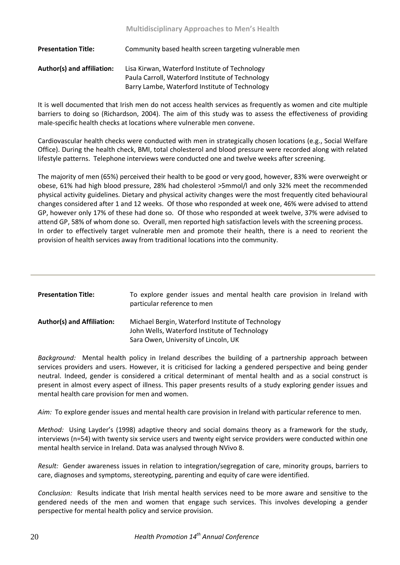**Presentation Title:** Community based health screen targeting vulnerable men **Author(s) and affiliation:** Lisa Kirwan, Waterford Institute of Technology

Paula Carroll, Waterford Institute of Technology Barry Lambe, Waterford Institute of Technology

It is well documented that Irish men do not access health services as frequently as women and cite multiple barriers to doing so (Richardson, 2004). The aim of this study was to assess the effectiveness of providing male-specific health checks at locations where vulnerable men convene.

Cardiovascular health checks were conducted with men in strategically chosen locations (e.g., Social Welfare Office). During the health check, BMI, total cholesterol and blood pressure were recorded along with related lifestyle patterns. Telephone interviews were conducted one and twelve weeks after screening.

The majority of men (65%) perceived their health to be good or very good, however, 83% were overweight or obese, 61% had high blood pressure, 28% had cholesterol >5mmol/l and only 32% meet the recommended physical activity guidelines. Dietary and physical activity changes were the most frequently cited behavioural changes considered after 1 and 12 weeks. Of those who responded at week one, 46% were advised to attend GP, however only 17% of these had done so. Of those who responded at week twelve, 37% were advised to attend GP, 58% of whom done so. Overall, men reported high satisfaction levels with the screening process. In order to effectively target vulnerable men and promote their health, there is a need to reorient the provision of health services away from traditional locations into the community.

| <b>Presentation Title:</b>        | To explore gender issues and mental health care provision in Ireland with<br>particular reference to men                                   |
|-----------------------------------|--------------------------------------------------------------------------------------------------------------------------------------------|
| <b>Author(s) and Affiliation:</b> | Michael Bergin, Waterford Institute of Technology<br>John Wells, Waterford Institute of Technology<br>Sara Owen, University of Lincoln, UK |

*Background:* Mental health policy in Ireland describes the building of a partnership approach between services providers and users. However, it is criticised for lacking a gendered perspective and being gender neutral. Indeed, gender is considered a critical determinant of mental health and as a social construct is present in almost every aspect of illness. This paper presents results of a study exploring gender issues and mental health care provision for men and women.

*Aim:* To explore gender issues and mental health care provision in Ireland with particular reference to men.

*Method:* Using Layder's (1998) adaptive theory and social domains theory as a framework for the study, interviews (n=54) with twenty six service users and twenty eight service providers were conducted within one mental health service in Ireland. Data was analysed through NVivo 8.

*Result:* Gender awareness issues in relation to integration/segregation of care, minority groups, barriers to care, diagnoses and symptoms, stereotyping, parenting and equity of care were identified.

*Conclusion:* Results indicate that Irish mental health services need to be more aware and sensitive to the gendered needs of the men and women that engage such services. This involves developing a gender perspective for mental health policy and service provision.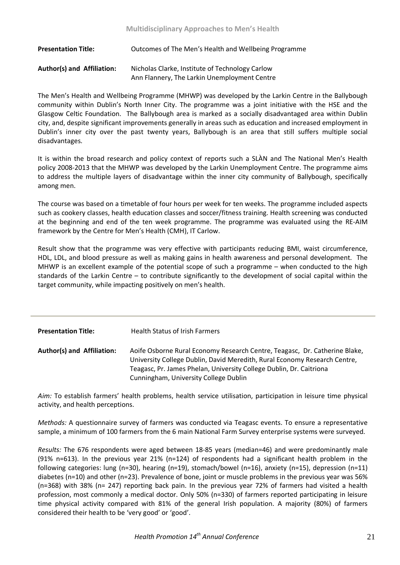**Multidisciplinary Approaches to Men's Health**

**Presentation Title: Outcomes of The Men's Health and Wellbeing Programme Author(s) and Affiliation:** Nicholas Clarke, Institute of Technology Carlow Ann Flannery, The Larkin Unemployment Centre

The Men's Health and Wellbeing Programme (MHWP) was developed by the Larkin Centre in the Ballybough community within Dublin's North Inner City. The programme was a joint initiative with the HSE and the Glasgow Celtic Foundation. The Ballybough area is marked as a socially disadvantaged area within Dublin city, and, despite significant improvements generally in areas such as education and increased employment in Dublin's inner city over the past twenty years, Ballybough is an area that still suffers multiple social disadvantages.

It is within the broad research and policy context of reports such a SLÀN and The National Men's Health policy 2008-2013 that the MHWP was developed by the Larkin Unemployment Centre. The programme aims to address the multiple layers of disadvantage within the inner city community of Ballybough, specifically among men.

The course was based on a timetable of four hours per week for ten weeks. The programme included aspects such as cookery classes, health education classes and soccer/fitness training. Health screening was conducted at the beginning and end of the ten week programme. The programme was evaluated using the RE-AIM framework by the Centre for Men's Health (CMH), IT Carlow.

Result show that the programme was very effective with participants reducing BMI, waist circumference, HDL, LDL, and blood pressure as well as making gains in health awareness and personal development. The MHWP is an excellent example of the potential scope of such a programme – when conducted to the high standards of the Larkin Centre – to contribute significantly to the development of social capital within the target community, while impacting positively on men's health.

| <b>Presentation Title:</b> | <b>Health Status of Irish Farmers</b>                                                                                                                                                                                                                                   |
|----------------------------|-------------------------------------------------------------------------------------------------------------------------------------------------------------------------------------------------------------------------------------------------------------------------|
| Author(s) and Affiliation: | Aoife Osborne Rural Economy Research Centre, Teagasc, Dr. Catherine Blake,<br>University College Dublin, David Meredith, Rural Economy Research Centre,<br>Teagasc, Pr. James Phelan, University College Dublin, Dr. Caitriona<br>Cunningham, University College Dublin |

*Aim:* To establish farmers' health problems, health service utilisation, participation in leisure time physical activity, and health perceptions.

*Methods:* A questionnaire survey of farmers was conducted via Teagasc events. To ensure a representative sample, a minimum of 100 farmers from the 6 main National Farm Survey enterprise systems were surveyed.

*Results:* The 676 respondents were aged between 18-85 years (median=46) and were predominantly male (91% n=613). In the previous year 21% (n=124) of respondents had a significant health problem in the following categories: lung (n=30), hearing (n=19), stomach/bowel (n=16), anxiety (n=15), depression (n=11) diabetes (n=10) and other (n=23). Prevalence of bone, joint or muscle problems in the previous year was 56% (n=368) with 38% (n= 247) reporting back pain. In the previous year 72% of farmers had visited a health profession, most commonly a medical doctor. Only 50% (n=330) of farmers reported participating in leisure time physical activity compared with 81% of the general Irish population. A majority (80%) of farmers considered their health to be 'very good' or 'good'.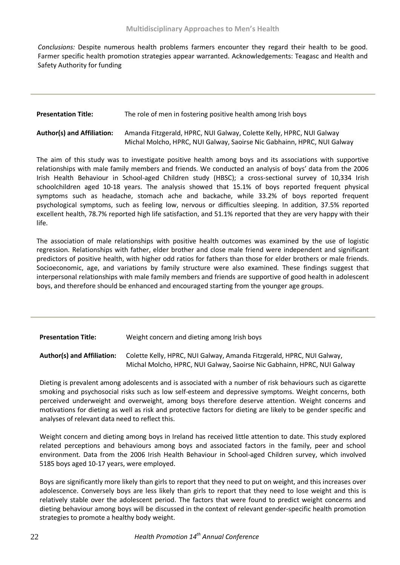*Conclusions:* Despite numerous health problems farmers encounter they regard their health to be good. Farmer specific health promotion strategies appear warranted. Acknowledgements: Teagasc and Health and Safety Authority for funding

| <b>Presentation Title:</b> | The role of men in fostering positive health among Irish boys |
|----------------------------|---------------------------------------------------------------|
| Authenley and Affiliations | Amonde Fitzguald HDDC NHLColumn Calatta Kally HDDC NHLColu    |

**Author(s) and Affiliation:** Amanda Fitzgerald, HPRC, NUI Galway, Colette Kelly, HPRC, NUI Galway Michal Molcho, HPRC, NUI Galway, Saoirse Nic Gabhainn, HPRC, NUI Galway

The aim of this study was to investigate positive health among boys and its associations with supportive relationships with male family members and friends. We conducted an analysis of boys' data from the 2006 Irish Health Behaviour in School-aged Children study (HBSC); a cross-sectional survey of 10,334 Irish schoolchildren aged 10-18 years. The analysis showed that 15.1% of boys reported frequent physical symptoms such as headache, stomach ache and backache, while 33.2% of boys reported frequent psychological symptoms, such as feeling low, nervous or difficulties sleeping. In addition, 37.5% reported excellent health, 78.7% reported high life satisfaction, and 51.1% reported that they are very happy with their life.

The association of male relationships with positive health outcomes was examined by the use of logistic regression. Relationships with father, elder brother and close male friend were independent and significant predictors of positive health, with higher odd ratios for fathers than those for elder brothers or male friends. Socioeconomic, age, and variations by family structure were also examined. These findings suggest that interpersonal relationships with male family members and friends are supportive of good health in adolescent boys, and therefore should be enhanced and encouraged starting from the younger age groups.

| <b>Presentation Title:</b> | Weight concern and dieting among Irish boys |
|----------------------------|---------------------------------------------|
|                            |                                             |

**Author(s) and Affiliation:** Colette Kelly, HPRC, NUI Galway, Amanda Fitzgerald, HPRC, NUI Galway, Michal Molcho, HPRC, NUI Galway, Saoirse Nic Gabhainn, HPRC, NUI Galway

Dieting is prevalent among adolescents and is associated with a number of risk behaviours such as cigarette smoking and psychosocial risks such as low self-esteem and depressive symptoms. Weight concerns, both perceived underweight and overweight, among boys therefore deserve attention. Weight concerns and motivations for dieting as well as risk and protective factors for dieting are likely to be gender specific and analyses of relevant data need to reflect this.

Weight concern and dieting among boys in Ireland has received little attention to date. This study explored related perceptions and behaviours among boys and associated factors in the family, peer and school environment. Data from the 2006 Irish Health Behaviour in School-aged Children survey, which involved 5185 boys aged 10-17 years, were employed.

Boys are significantly more likely than girls to report that they need to put on weight, and this increases over adolescence. Conversely boys are less likely than girls to report that they need to lose weight and this is relatively stable over the adolescent period. The factors that were found to predict weight concerns and dieting behaviour among boys will be discussed in the context of relevant gender-specific health promotion strategies to promote a healthy body weight.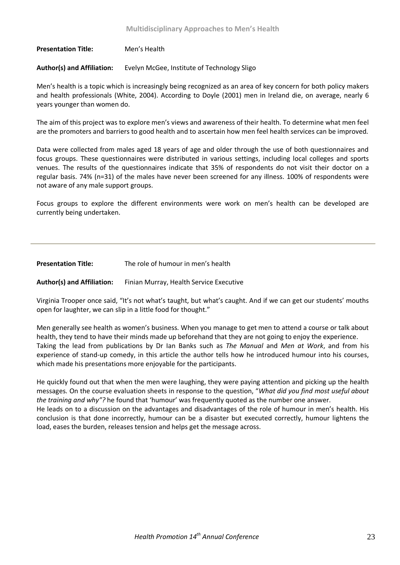#### **Presentation Title:** Men's Health

#### **Author(s) and Affiliation:** Evelyn McGee, Institute of Technology Sligo

Men's health is a topic which is increasingly being recognized as an area of key concern for both policy makers and health professionals (White, 2004). According to Doyle (2001) men in Ireland die, on average, nearly 6 years younger than women do.

The aim of this project was to explore men's views and awareness of their health. To determine what men feel are the promoters and barriers to good health and to ascertain how men feel health services can be improved.

Data were collected from males aged 18 years of age and older through the use of both questionnaires and focus groups. These questionnaires were distributed in various settings, including local colleges and sports venues. The results of the questionnaires indicate that 35% of respondents do not visit their doctor on a regular basis. 74% (n=31) of the males have never been screened for any illness. 100% of respondents were not aware of any male support groups.

Focus groups to explore the different environments were work on men's health can be developed are currently being undertaken.

**Presentation Title:** The role of humour in men's health

**Author(s) and Affiliation:** Finian Murray, Health Service Executive

Virginia Trooper once said, "It's not what's taught, but what's caught. And if we can get our students' mouths open for laughter, we can slip in a little food for thought."

Men generally see health as women's business. When you manage to get men to attend a course or talk about health, they tend to have their minds made up beforehand that they are not going to enjoy the experience. Taking the lead from publications by Dr Ian Banks such as *The Manual* and *Men at Work*, and from his experience of stand-up comedy, in this article the author tells how he introduced humour into his courses, which made his presentations more enjoyable for the participants.

He quickly found out that when the men were laughing, they were paying attention and picking up the health messages. On the course evaluation sheets in response to the question, "*What did you find most useful about the training and why"?* he found that 'humour' was frequently quoted as the number one answer. He leads on to a discussion on the advantages and disadvantages of the role of humour in men's health. His conclusion is that done incorrectly, humour can be a disaster but executed correctly, humour lightens the load, eases the burden, releases tension and helps get the message across.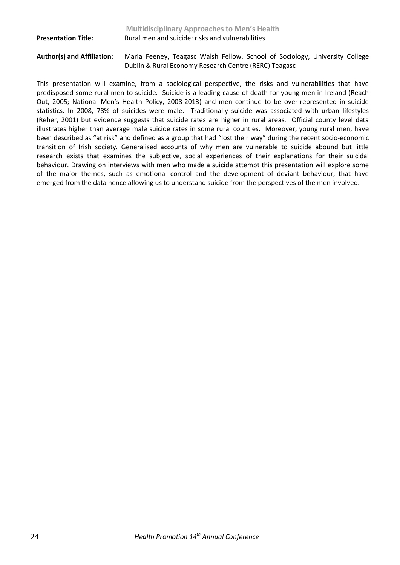### **Multidisciplinary Approaches to Men's Health Presentation Title:** Rural men and suicide: risks and vulnerabilities **Author(s) and Affiliation:** Maria Feeney, Teagasc Walsh Fellow. School of Sociology, University College Dublin & Rural Economy Research Centre (RERC) Teagasc

This presentation will examine, from a sociological perspective, the risks and vulnerabilities that have predisposed some rural men to suicide. Suicide is a leading cause of death for young men in Ireland (Reach Out, 2005; National Men's Health Policy, 2008-2013) and men continue to be over-represented in suicide statistics. In 2008, 78% of suicides were male. Traditionally suicide was associated with urban lifestyles (Reher, 2001) but evidence suggests that suicide rates are higher in rural areas. Official county level data illustrates higher than average male suicide rates in some rural counties. Moreover, young rural men, have been described as "at risk" and defined as a group that had "lost their way" during the recent socio-economic transition of Irish society. Generalised accounts of why men are vulnerable to suicide abound but little research exists that examines the subjective, social experiences of their explanations for their suicidal behaviour. Drawing on interviews with men who made a suicide attempt this presentation will explore some of the major themes, such as emotional control and the development of deviant behaviour, that have emerged from the data hence allowing us to understand suicide from the perspectives of the men involved.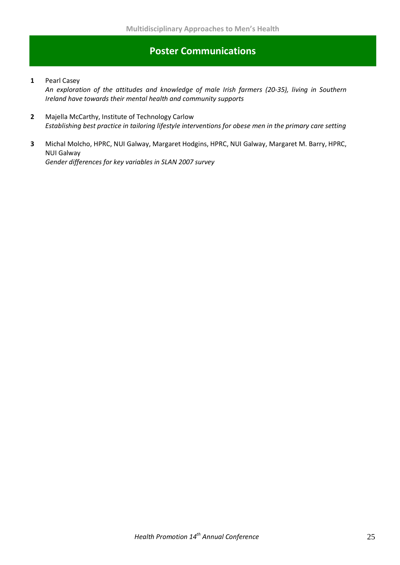### **Poster Communications**

- **1** Pearl Casey *An exploration of the attitudes and knowledge of male Irish farmers (20-35), living in Southern Ireland have towards their mental health and community supports*
- **2** Majella McCarthy, Institute of Technology Carlow *Establishing best practice in tailoring lifestyle interventions for obese men in the primary care setting*
- **3** Michal Molcho, HPRC, NUI Galway, Margaret Hodgins, HPRC, NUI Galway, Margaret M. Barry, HPRC, NUI Galway *Gender differences for key variables in SLAN 2007 survey*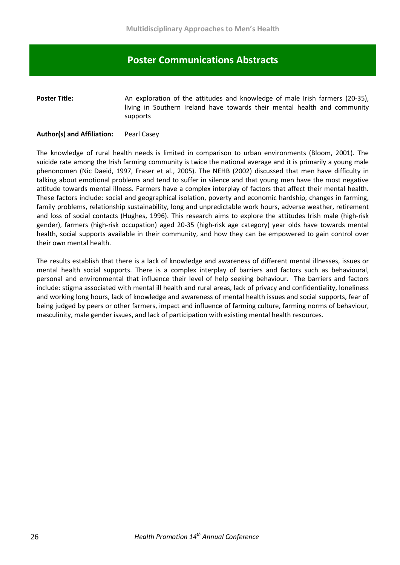### **Poster Communications Abstracts**

#### **Poster Title: An exploration of the attitudes and knowledge of male Irish farmers (20-35),** living in Southern Ireland have towards their mental health and community supports

#### **Author(s) and Affiliation:** Pearl Casey

The knowledge of rural health needs is limited in comparison to urban environments (Bloom, 2001). The suicide rate among the Irish farming community is twice the national average and it is primarily a young male phenonomen (Nic Daeid, 1997, Fraser et al., 2005). The NEHB (2002) discussed that men have difficulty in talking about emotional problems and tend to suffer in silence and that young men have the most negative attitude towards mental illness. Farmers have a complex interplay of factors that affect their mental health. These factors include: social and geographical isolation, poverty and economic hardship, changes in farming, family problems, relationship sustainability, long and unpredictable work hours, adverse weather, retirement and loss of social contacts (Hughes, 1996). This research aims to explore the attitudes Irish male (high-risk gender), farmers (high-risk occupation) aged 20-35 (high-risk age category) year olds have towards mental health, social supports available in their community, and how they can be empowered to gain control over their own mental health.

The results establish that there is a lack of knowledge and awareness of different mental illnesses, issues or mental health social supports. There is a complex interplay of barriers and factors such as behavioural, personal and environmental that influence their level of help seeking behaviour. The barriers and factors include: stigma associated with mental ill health and rural areas, lack of privacy and confidentiality, loneliness and working long hours, lack of knowledge and awareness of mental health issues and social supports, fear of being judged by peers or other farmers, impact and influence of farming culture, farming norms of behaviour, masculinity, male gender issues, and lack of participation with existing mental health resources.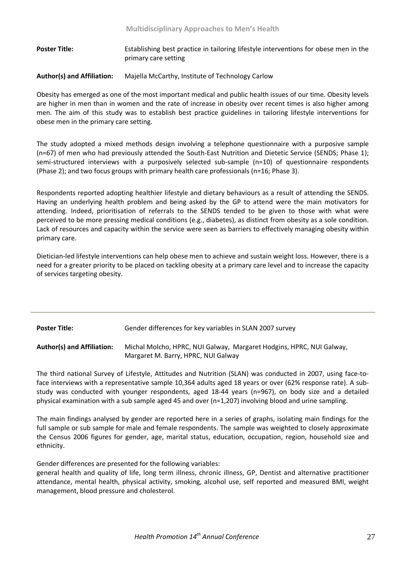**Poster Title:** Establishing best practice in tailoring lifestyle interventions for obese men in the primary care setting

**Author(s) and Affiliation:** Majella McCarthy, Institute of Technology Carlow

Obesity has emerged as one of the most important medical and public health issues of our time. Obesity levels are higher in men than in women and the rate of increase in obesity over recent times is also higher among men. The aim of this study was to establish best practice guidelines in tailoring lifestyle interventions for obese men in the primary care setting.

The study adopted a mixed methods design involving a telephone questionnaire with a purposive sample (n=67) of men who had previously attended the South-East Nutrition and Dietetic Service (SENDS; Phase 1); semi-structured interviews with a purposively selected sub-sample (n=10) of questionnaire respondents (Phase 2); and two focus groups with primary health care professionals (n=16; Phase 3).

Respondents reported adopting healthier lifestyle and dietary behaviours as a result of attending the SENDS. Having an underlying health problem and being asked by the GP to attend were the main motivators for attending. Indeed, prioritisation of referrals to the SENDS tended to be given to those with what were perceived to be more pressing medical conditions (e.g., diabetes), as distinct from obesity as a sole condition. Lack of resources and capacity within the service were seen as barriers to effectively managing obesity within primary care.

Dietician-led lifestyle interventions can help obese men to achieve and sustain weight loss. However, there is a need for a greater priority to be placed on tackling obesity at a primary care level and to increase the capacity of services targeting obesity.

| <b>Poster Title:</b>              | Gender differences for key variables in SLAN 2007 survey                                                    |
|-----------------------------------|-------------------------------------------------------------------------------------------------------------|
| <b>Author(s) and Affiliation:</b> | Michal Molcho, HPRC, NUI Galway, Margaret Hodgins, HPRC, NUI Galway,<br>Margaret M. Barry, HPRC, NUI Galway |

The third national Survey of Lifestyle, Attitudes and Nutrition (SLAN) was conducted in 2007, using face-toface interviews with a representative sample 10,364 adults aged 18 years or over (62% response rate). A substudy was conducted with younger respondents, aged 18-44 years (n=967), on body size and a detailed physical examination with a sub sample aged 45 and over (n=1,207) involving blood and urine sampling.

The main findings analysed by gender are reported here in a series of graphs, isolating main findings for the full sample or sub sample for male and female respondents. The sample was weighted to closely approximate the Census 2006 figures for gender, age, marital status, education, occupation, region, household size and ethnicity.

Gender differences are presented for the following variables:

general health and quality of life, long term illness, chronic illness, GP, Dentist and alternative practitioner attendance, mental health, physical activity, smoking, alcohol use, self reported and measured BMI, weight management, blood pressure and cholesterol.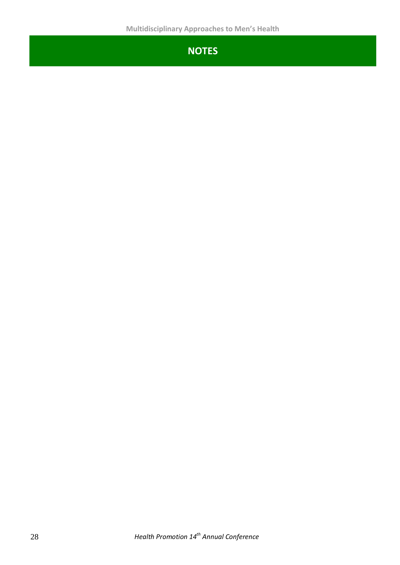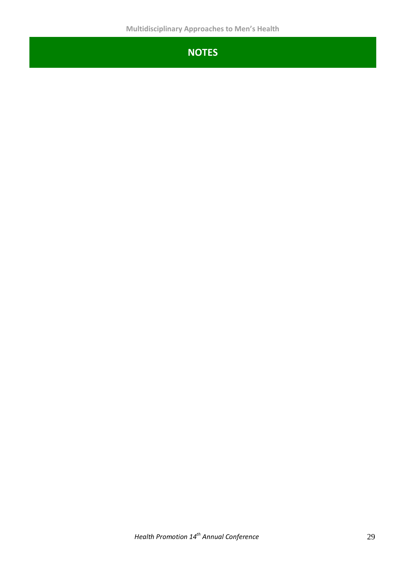